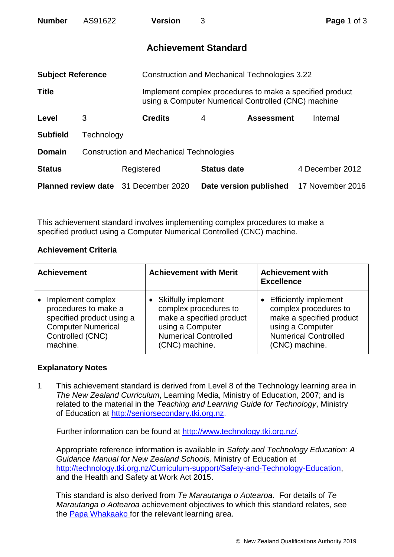| <b>Number</b>                               | AS91622                                         |            | <b>Version</b>                                | 3 |                                                                                                                 |  | Page 1 of 3      |  |
|---------------------------------------------|-------------------------------------------------|------------|-----------------------------------------------|---|-----------------------------------------------------------------------------------------------------------------|--|------------------|--|
| <b>Achievement Standard</b>                 |                                                 |            |                                               |   |                                                                                                                 |  |                  |  |
| <b>Subject Reference</b>                    |                                                 |            | Construction and Mechanical Technologies 3.22 |   |                                                                                                                 |  |                  |  |
| <b>Title</b>                                |                                                 |            |                                               |   | Implement complex procedures to make a specified product<br>using a Computer Numerical Controlled (CNC) machine |  |                  |  |
| Level                                       | 3                                               |            | <b>Credits</b>                                | 4 | <b>Assessment</b>                                                                                               |  | Internal         |  |
| <b>Subfield</b>                             | Technology                                      |            |                                               |   |                                                                                                                 |  |                  |  |
| <b>Domain</b>                               | <b>Construction and Mechanical Technologies</b> |            |                                               |   |                                                                                                                 |  |                  |  |
| <b>Status</b>                               |                                                 | Registered |                                               |   | <b>Status date</b>                                                                                              |  | 4 December 2012  |  |
| <b>Planned review date</b> 31 December 2020 |                                                 |            |                                               |   | Date version published                                                                                          |  | 17 November 2016 |  |

This achievement standard involves implementing complex procedures to make a specified product using a Computer Numerical Controlled (CNC) machine.

## **Achievement Criteria**

| <b>Achievement</b>        | <b>Achievement with Merit</b> | <b>Achievement with</b><br><b>Excellence</b> |
|---------------------------|-------------------------------|----------------------------------------------|
| Implement complex         | • Skilfully implement         | <b>Efficiently implement</b>                 |
| procedures to make a      | complex procedures to         | complex procedures to                        |
| specified product using a | make a specified product      | make a specified product                     |
| <b>Computer Numerical</b> | using a Computer              | using a Computer                             |
| Controlled (CNC)          | <b>Numerical Controlled</b>   | <b>Numerical Controlled</b>                  |
| machine.                  | (CNC) machine.                | (CNC) machine.                               |

## **Explanatory Notes**

1 This achievement standard is derived from Level 8 of the Technology learning area in *The New Zealand Curriculum*, Learning Media, Ministry of Education, 2007; and is related to the material in the *Teaching and Learning Guide for Technology*, Ministry of Education at [http://seniorsecondary.tki.org.nz.](http://seniorsecondary.tki.org.nz/)

Further information can be found at [http://www.technology.tki.org.nz/.](http://www.technology.tki.org.nz/)

Appropriate reference information is available in *Safety and Technology Education: A Guidance Manual for New Zealand Schools,* Ministry of Education at [http://technology.tki.org.nz/Curriculum-support/Safety-and-Technology-Education,](http://technology.tki.org.nz/Curriculum-support/Safety-and-Technology-Education) and the Health and Safety at Work Act 2015.

This standard is also derived from *Te Marautanga o Aotearoa*. For details of *Te Marautanga o Aotearoa* achievement objectives to which this standard relates, see the [Papa Whakaako](http://tmoa.tki.org.nz/Te-Marautanga-o-Aotearoa/Taumata-Matauranga-a-Motu-Ka-Taea) for the relevant learning area.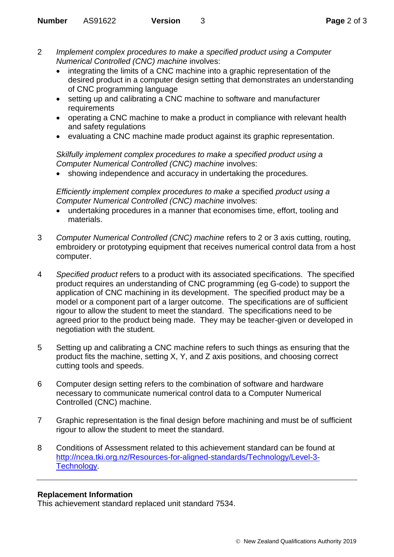- 2 *Implement complex procedures to make a specified product using a Computer Numerical Controlled (CNC) machine* involves:
	- integrating the limits of a CNC machine into a graphic representation of the desired product in a computer design setting that demonstrates an understanding of CNC programming language
	- setting up and calibrating a CNC machine to software and manufacturer requirements
	- operating a CNC machine to make a product in compliance with relevant health and safety regulations
	- evaluating a CNC machine made product against its graphic representation.

*Skilfully implement complex procedures to make a specified product using a Computer Numerical Controlled (CNC) machine* involves:

showing independence and accuracy in undertaking the procedures.

*Efficiently implement complex procedures to make a* specified *product using a Computer Numerical Controlled (CNC) machine* involves:

- undertaking procedures in a manner that economises time, effort, tooling and materials.
- 3 *Computer Numerical Controlled (CNC) machine* refers to 2 or 3 axis cutting, routing, embroidery or prototyping equipment that receives numerical control data from a host computer.
- 4 *Specified product* refers to a product with its associated specifications. The specified product requires an understanding of CNC programming (eg G-code) to support the application of CNC machining in its development. The specified product may be a model or a component part of a larger outcome. The specifications are of sufficient rigour to allow the student to meet the standard. The specifications need to be agreed prior to the product being made. They may be teacher-given or developed in negotiation with the student.
- 5 Setting up and calibrating a CNC machine refers to such things as ensuring that the product fits the machine, setting X, Y, and Z axis positions, and choosing correct cutting tools and speeds.
- 6 Computer design setting refers to the combination of software and hardware necessary to communicate numerical control data to a Computer Numerical Controlled (CNC) machine.
- 7 Graphic representation is the final design before machining and must be of sufficient rigour to allow the student to meet the standard.
- 8 Conditions of Assessment related to this achievement standard can be found at [http://ncea.tki.org.nz/Resources-for-aligned-standards/Technology/Level-3-](http://ncea.tki.org.nz/Resources-for-aligned-standards/Technology/Level-3-Technology) [Technology.](http://ncea.tki.org.nz/Resources-for-aligned-standards/Technology/Level-3-Technology)

## **Replacement Information**

This achievement standard replaced unit standard 7534.